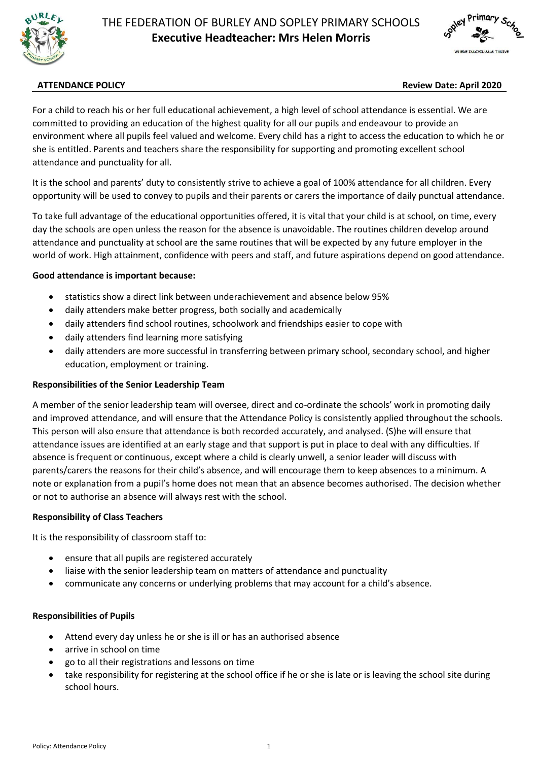



## **ATTENDANCE POLICY Review Date: April 2020**

For a child to reach his or her full educational achievement, a high level of school attendance is essential. We are committed to providing an education of the highest quality for all our pupils and endeavour to provide an environment where all pupils feel valued and welcome. Every child has a right to access the education to which he or she is entitled. Parents and teachers share the responsibility for supporting and promoting excellent school attendance and punctuality for all.

It is the school and parents' duty to consistently strive to achieve a goal of 100% attendance for all children. Every opportunity will be used to convey to pupils and their parents or carers the importance of daily punctual attendance.

To take full advantage of the educational opportunities offered, it is vital that your child is at school, on time, every day the schools are open unless the reason for the absence is unavoidable. The routines children develop around attendance and punctuality at school are the same routines that will be expected by any future employer in the world of work. High attainment, confidence with peers and staff, and future aspirations depend on good attendance.

#### **Good attendance is important because:**

- statistics show a direct link between underachievement and absence below 95%
- daily attenders make better progress, both socially and academically
- daily attenders find school routines, schoolwork and friendships easier to cope with
- daily attenders find learning more satisfying
- daily attenders are more successful in transferring between primary school, secondary school, and higher education, employment or training.

#### **Responsibilities of the Senior Leadership Team**

A member of the senior leadership team will oversee, direct and co-ordinate the schools' work in promoting daily and improved attendance, and will ensure that the Attendance Policy is consistently applied throughout the schools. This person will also ensure that attendance is both recorded accurately, and analysed. (S)he will ensure that attendance issues are identified at an early stage and that support is put in place to deal with any difficulties. If absence is frequent or continuous, except where a child is clearly unwell, a senior leader will discuss with parents/carers the reasons for their child's absence, and will encourage them to keep absences to a minimum. A note or explanation from a pupil's home does not mean that an absence becomes authorised. The decision whether or not to authorise an absence will always rest with the school.

#### **Responsibility of Class Teachers**

It is the responsibility of classroom staff to:

- ensure that all pupils are registered accurately
- liaise with the senior leadership team on matters of attendance and punctuality
- communicate any concerns or underlying problems that may account for a child's absence.

#### **Responsibilities of Pupils**

- Attend every day unless he or she is ill or has an authorised absence
- arrive in school on time
- go to all their registrations and lessons on time
- take responsibility for registering at the school office if he or she is late or is leaving the school site during school hours.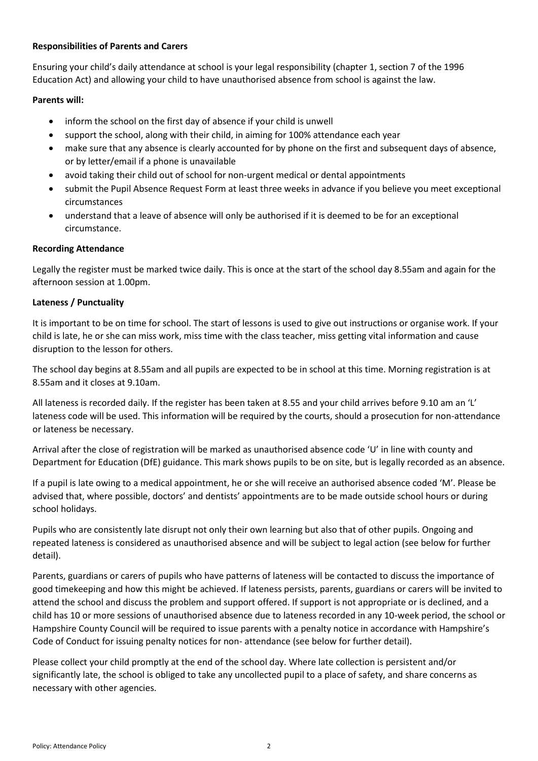# **Responsibilities of Parents and Carers**

Ensuring your child's daily attendance at school is your legal responsibility (chapter 1, section 7 of the 1996 Education Act) and allowing your child to have unauthorised absence from school is against the law.

# **Parents will:**

- inform the school on the first day of absence if your child is unwell
- support the school, along with their child, in aiming for 100% attendance each year
- make sure that any absence is clearly accounted for by phone on the first and subsequent days of absence, or by letter/email if a phone is unavailable
- avoid taking their child out of school for non-urgent medical or dental appointments
- submit the Pupil Absence Request Form at least three weeks in advance if you believe you meet exceptional circumstances
- understand that a leave of absence will only be authorised if it is deemed to be for an exceptional circumstance.

## **Recording Attendance**

Legally the register must be marked twice daily. This is once at the start of the school day 8.55am and again for the afternoon session at 1.00pm.

## **Lateness / Punctuality**

It is important to be on time for school. The start of lessons is used to give out instructions or organise work. If your child is late, he or she can miss work, miss time with the class teacher, miss getting vital information and cause disruption to the lesson for others.

The school day begins at 8.55am and all pupils are expected to be in school at this time. Morning registration is at 8.55am and it closes at 9.10am.

All lateness is recorded daily. If the register has been taken at 8.55 and your child arrives before 9.10 am an 'L' lateness code will be used. This information will be required by the courts, should a prosecution for non-attendance or lateness be necessary.

Arrival after the close of registration will be marked as unauthorised absence code 'U' in line with county and Department for Education (DfE) guidance. This mark shows pupils to be on site, but is legally recorded as an absence.

If a pupil is late owing to a medical appointment, he or she will receive an authorised absence coded 'M'. Please be advised that, where possible, doctors' and dentists' appointments are to be made outside school hours or during school holidays.

Pupils who are consistently late disrupt not only their own learning but also that of other pupils. Ongoing and repeated lateness is considered as unauthorised absence and will be subject to legal action (see below for further detail).

Parents, guardians or carers of pupils who have patterns of lateness will be contacted to discuss the importance of good timekeeping and how this might be achieved. If lateness persists, parents, guardians or carers will be invited to attend the school and discuss the problem and support offered. If support is not appropriate or is declined, and a child has 10 or more sessions of unauthorised absence due to lateness recorded in any 10-week period, the school or Hampshire County Council will be required to issue parents with a penalty notice in accordance with Hampshire's Code of Conduct for issuing penalty notices for non- attendance (see below for further detail).

Please collect your child promptly at the end of the school day. Where late collection is persistent and/or significantly late, the school is obliged to take any uncollected pupil to a place of safety, and share concerns as necessary with other agencies.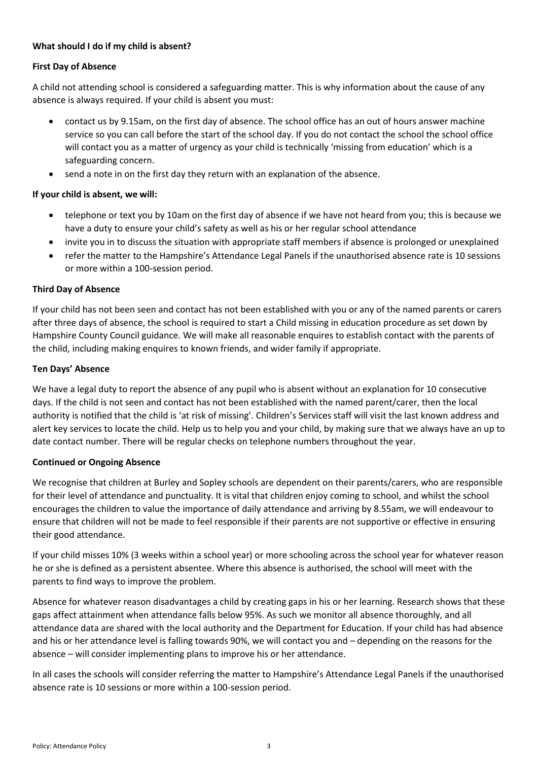# **What should I do if my child is absent?**

# **First Day of Absence**

A child not attending school is considered a safeguarding matter. This is why information about the cause of any absence is always required. If your child is absent you must:

- contact us by 9.15am, on the first day of absence. The school office has an out of hours answer machine service so you can call before the start of the school day. If you do not contact the school the school office will contact you as a matter of urgency as your child is technically 'missing from education' which is a safeguarding concern.
- send a note in on the first day they return with an explanation of the absence.

## **If your child is absent, we will:**

- telephone or text you by 10am on the first day of absence if we have not heard from you; this is because we have a duty to ensure your child's safety as well as his or her regular school attendance
- invite you in to discuss the situation with appropriate staff members if absence is prolonged or unexplained
- refer the matter to the Hampshire's Attendance Legal Panels if the unauthorised absence rate is 10 sessions or more within a 100-session period.

## **Third Day of Absence**

If your child has not been seen and contact has not been established with you or any of the named parents or carers after three days of absence, the school is required to start a Child missing in education procedure as set down by Hampshire County Council guidance. We will make all reasonable enquires to establish contact with the parents of the child, including making enquires to known friends, and wider family if appropriate.

## **Ten Days' Absence**

We have a legal duty to report the absence of any pupil who is absent without an explanation for 10 consecutive days. If the child is not seen and contact has not been established with the named parent/carer, then the local authority is notified that the child is 'at risk of missing'. Children's Services staff will visit the last known address and alert key services to locate the child. Help us to help you and your child, by making sure that we always have an up to date contact number. There will be regular checks on telephone numbers throughout the year.

#### **Continued or Ongoing Absence**

We recognise that children at Burley and Sopley schools are dependent on their parents/carers, who are responsible for their level of attendance and punctuality. It is vital that children enjoy coming to school, and whilst the school encourages the children to value the importance of daily attendance and arriving by 8.55am, we will endeavour to ensure that children will not be made to feel responsible if their parents are not supportive or effective in ensuring their good attendance.

If your child misses 10% (3 weeks within a school year) or more schooling across the school year for whatever reason he or she is defined as a persistent absentee. Where this absence is authorised, the school will meet with the parents to find ways to improve the problem.

Absence for whatever reason disadvantages a child by creating gaps in his or her learning. Research shows that these gaps affect attainment when attendance falls below 95%. As such we monitor all absence thoroughly, and all attendance data are shared with the local authority and the Department for Education. If your child has had absence and his or her attendance level is falling towards 90%, we will contact you and – depending on the reasons for the absence – will consider implementing plans to improve his or her attendance.

In all cases the schools will consider referring the matter to Hampshire's Attendance Legal Panels if the unauthorised absence rate is 10 sessions or more within a 100-session period.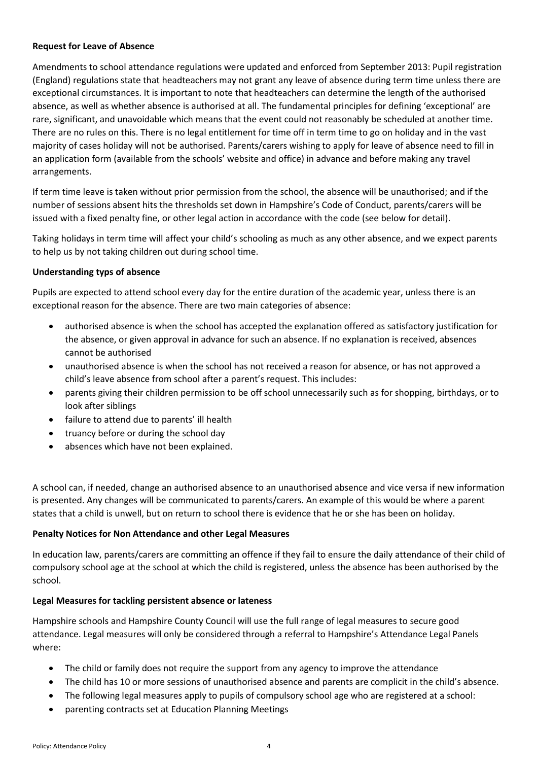## **Request for Leave of Absence**

Amendments to school attendance regulations were updated and enforced from September 2013: Pupil registration (England) regulations state that headteachers may not grant any leave of absence during term time unless there are exceptional circumstances. It is important to note that headteachers can determine the length of the authorised absence, as well as whether absence is authorised at all. The fundamental principles for defining 'exceptional' are rare, significant, and unavoidable which means that the event could not reasonably be scheduled at another time. There are no rules on this. There is no legal entitlement for time off in term time to go on holiday and in the vast majority of cases holiday will not be authorised. Parents/carers wishing to apply for leave of absence need to fill in an application form (available from the schools' website and office) in advance and before making any travel arrangements.

If term time leave is taken without prior permission from the school, the absence will be unauthorised; and if the number of sessions absent hits the thresholds set down in Hampshire's Code of Conduct, parents/carers will be issued with a fixed penalty fine, or other legal action in accordance with the code (see below for detail).

Taking holidays in term time will affect your child's schooling as much as any other absence, and we expect parents to help us by not taking children out during school time.

## **Understanding typs of absence**

Pupils are expected to attend school every day for the entire duration of the academic year, unless there is an exceptional reason for the absence. There are two main categories of absence:

- authorised absence is when the school has accepted the explanation offered as satisfactory justification for the absence, or given approval in advance for such an absence. If no explanation is received, absences cannot be authorised
- unauthorised absence is when the school has not received a reason for absence, or has not approved a child's leave absence from school after a parent's request. This includes:
- parents giving their children permission to be off school unnecessarily such as for shopping, birthdays, or to look after siblings
- failure to attend due to parents' ill health
- truancy before or during the school day
- absences which have not been explained.

A school can, if needed, change an authorised absence to an unauthorised absence and vice versa if new information is presented. Any changes will be communicated to parents/carers. An example of this would be where a parent states that a child is unwell, but on return to school there is evidence that he or she has been on holiday.

#### **Penalty Notices for Non Attendance and other Legal Measures**

In education law, parents/carers are committing an offence if they fail to ensure the daily attendance of their child of compulsory school age at the school at which the child is registered, unless the absence has been authorised by the school.

#### **Legal Measures for tackling persistent absence or lateness**

Hampshire schools and Hampshire County Council will use the full range of legal measures to secure good attendance. Legal measures will only be considered through a referral to Hampshire's Attendance Legal Panels where:

- The child or family does not require the support from any agency to improve the attendance
- The child has 10 or more sessions of unauthorised absence and parents are complicit in the child's absence.
- The following legal measures apply to pupils of compulsory school age who are registered at a school:
- parenting contracts set at Education Planning Meetings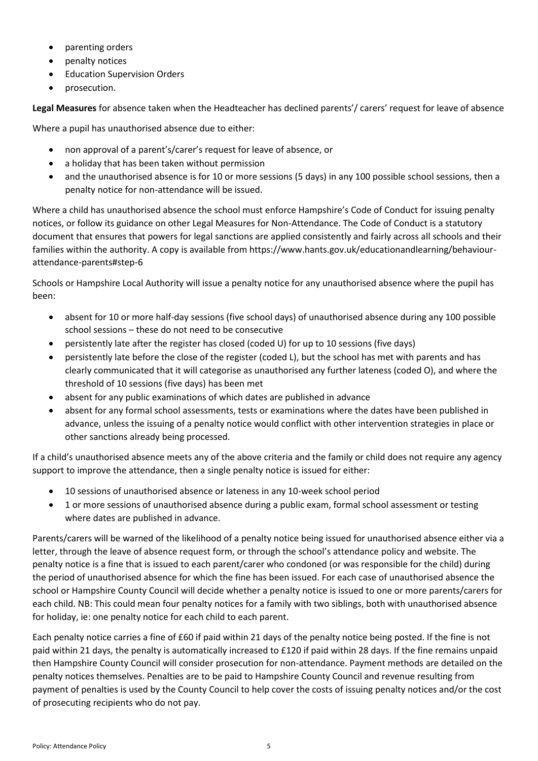- parenting orders
- penalty notices
- **•** Education Supervision Orders
- prosecution.

**Legal Measures** for absence taken when the Headteacher has declined parents'/ carers' request for leave of absence

Where a pupil has unauthorised absence due to either:

- non approval of a parent's/carer's request for leave of absence, or
- a holiday that has been taken without permission
- and the unauthorised absence is for 10 or more sessions (5 days) in any 100 possible school sessions, then a penalty notice for non-attendance will be issued.

Where a child has unauthorised absence the school must enforce Hampshire's Code of Conduct for issuing penalty notices, or follow its guidance on other Legal Measures for Non-Attendance. The Code of Conduct is a statutory document that ensures that powers for legal sanctions are applied consistently and fairly across all schools and their families within the authority. A copy is available from https://www.hants.gov.uk/educationandlearning/behaviourattendance-parents#step-6

Schools or Hampshire Local Authority will issue a penalty notice for any unauthorised absence where the pupil has been:

- absent for 10 or more half-day sessions (five school days) of unauthorised absence during any 100 possible school sessions – these do not need to be consecutive
- persistently late after the register has closed (coded U) for up to 10 sessions (five days)
- persistently late before the close of the register (coded L), but the school has met with parents and has clearly communicated that it will categorise as unauthorised any further lateness (coded O), and where the threshold of 10 sessions (five days) has been met
- absent for any public examinations of which dates are published in advance
- absent for any formal school assessments, tests or examinations where the dates have been published in advance, unless the issuing of a penalty notice would conflict with other intervention strategies in place or other sanctions already being processed.

If a child's unauthorised absence meets any of the above criteria and the family or child does not require any agency support to improve the attendance, then a single penalty notice is issued for either:

- 10 sessions of unauthorised absence or lateness in any 10-week school period
- 1 or more sessions of unauthorised absence during a public exam, formal school assessment or testing where dates are published in advance.

Parents/carers will be warned of the likelihood of a penalty notice being issued for unauthorised absence either via a letter, through the leave of absence request form, or through the school's attendance policy and website. The penalty notice is a fine that is issued to each parent/carer who condoned (or was responsible for the child) during the period of unauthorised absence for which the fine has been issued. For each case of unauthorised absence the school or Hampshire County Council will decide whether a penalty notice is issued to one or more parents/carers for each child. NB: This could mean four penalty notices for a family with two siblings, both with unauthorised absence for holiday, ie: one penalty notice for each child to each parent.

Each penalty notice carries a fine of £60 if paid within 21 days of the penalty notice being posted. If the fine is not paid within 21 days, the penalty is automatically increased to £120 if paid within 28 days. If the fine remains unpaid then Hampshire County Council will consider prosecution for non-attendance. Payment methods are detailed on the penalty notices themselves. Penalties are to be paid to Hampshire County Council and revenue resulting from payment of penalties is used by the County Council to help cover the costs of issuing penalty notices and/or the cost of prosecuting recipients who do not pay.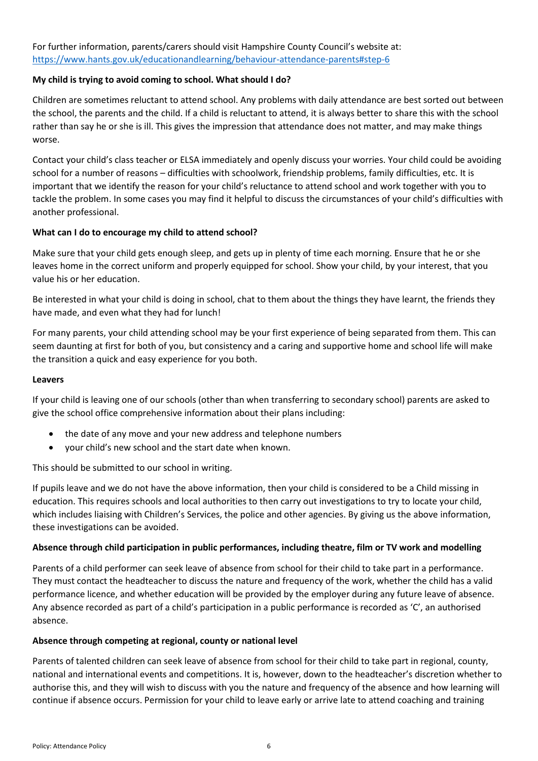For further information, parents/carers should visit Hampshire County Council's website at: <https://www.hants.gov.uk/educationandlearning/behaviour-attendance-parents#step-6>

## **My child is trying to avoid coming to school. What should I do?**

Children are sometimes reluctant to attend school. Any problems with daily attendance are best sorted out between the school, the parents and the child. If a child is reluctant to attend, it is always better to share this with the school rather than say he or she is ill. This gives the impression that attendance does not matter, and may make things worse.

Contact your child's class teacher or ELSA immediately and openly discuss your worries. Your child could be avoiding school for a number of reasons – difficulties with schoolwork, friendship problems, family difficulties, etc. It is important that we identify the reason for your child's reluctance to attend school and work together with you to tackle the problem. In some cases you may find it helpful to discuss the circumstances of your child's difficulties with another professional.

## **What can I do to encourage my child to attend school?**

Make sure that your child gets enough sleep, and gets up in plenty of time each morning. Ensure that he or she leaves home in the correct uniform and properly equipped for school. Show your child, by your interest, that you value his or her education.

Be interested in what your child is doing in school, chat to them about the things they have learnt, the friends they have made, and even what they had for lunch!

For many parents, your child attending school may be your first experience of being separated from them. This can seem daunting at first for both of you, but consistency and a caring and supportive home and school life will make the transition a quick and easy experience for you both.

#### **Leavers**

If your child is leaving one of our schools (other than when transferring to secondary school) parents are asked to give the school office comprehensive information about their plans including:

- the date of any move and your new address and telephone numbers
- your child's new school and the start date when known.

This should be submitted to our school in writing.

If pupils leave and we do not have the above information, then your child is considered to be a Child missing in education. This requires schools and local authorities to then carry out investigations to try to locate your child, which includes liaising with Children's Services, the police and other agencies. By giving us the above information, these investigations can be avoided.

#### **Absence through child participation in public performances, including theatre, film or TV work and modelling**

Parents of a child performer can seek leave of absence from school for their child to take part in a performance. They must contact the headteacher to discuss the nature and frequency of the work, whether the child has a valid performance licence, and whether education will be provided by the employer during any future leave of absence. Any absence recorded as part of a child's participation in a public performance is recorded as 'C', an authorised absence.

#### **Absence through competing at regional, county or national level**

Parents of talented children can seek leave of absence from school for their child to take part in regional, county, national and international events and competitions. It is, however, down to the headteacher's discretion whether to authorise this, and they will wish to discuss with you the nature and frequency of the absence and how learning will continue if absence occurs. Permission for your child to leave early or arrive late to attend coaching and training